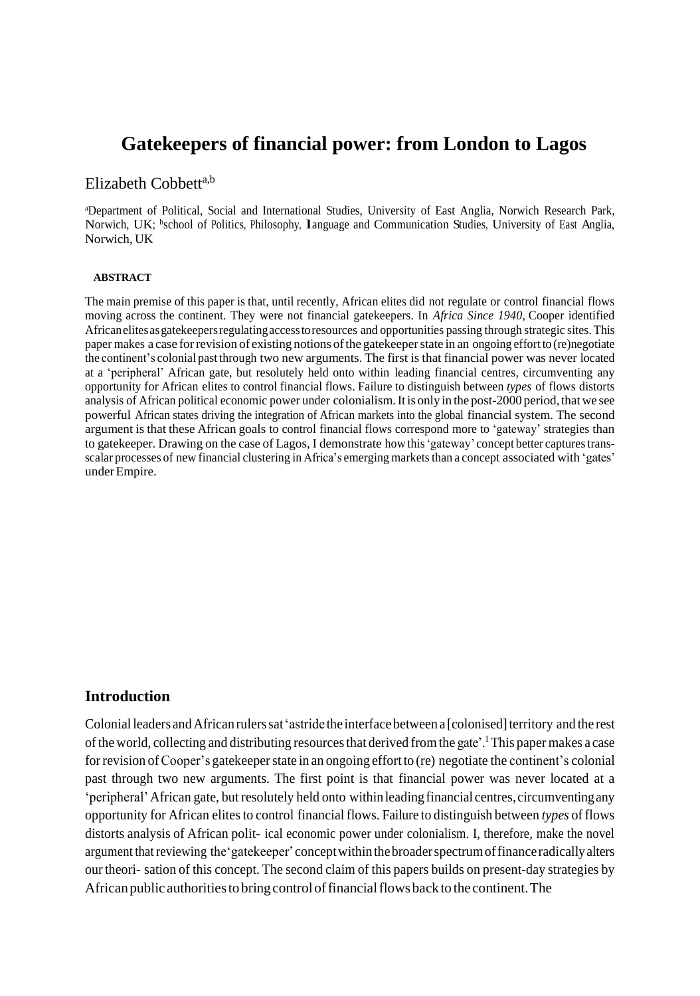# **Gatekeepers of financial power: from London to Lagos**

## Elizabeth Cobbett[a,b](#page-0-0)

<span id="page-0-0"></span><sup>a</sup>Department of Political, Social and International Studies, University of East Anglia, Norwich Research Park, "Department of Political, Social and International Studies, University of East Anglia, Norwich Research Park,<br>Norwich, UK; <sup>b</sup>school of Politics, Philosophy, **l**anguage and Communication Studies, University of East Anglia, Norwich, UK

#### **ABSTRACT**

The main premise of this paper is that, until recently, African elites did not regulate or control financial flows moving across the continent. They were not financial gatekeepers. In *Africa Since 1940*, Cooper identified Africanelitesasgatekeepersregulatingaccesstoresources and opportunities passing through strategic sites. This paper makes a case forrevision of existing notions ofthe gatekeeperstate in an ongoing effort to (re)negotiate the continent's colonial past through two new arguments. The first is that financial power was never located at a 'peripheral' African gate, but resolutely held onto within leading financial centres, circumventing any opportunity for African elites to control financial flows. Failure to distinguish between *types* of flows distorts analysis of African political economic power under colonialism.Itis only in the post-2000 period,that we see powerful African states driving the integration of African markets into the global financial system. The second argument is that these African goals to control financial flows correspond more to 'gateway' strategies than to gatekeeper. Drawing on the case of Lagos, I demonstrate how this 'gateway' concept better captures transscalar processes of new financial clustering in Africa's emerging marketsthan a concept associated with 'gates' underEmpire.

## **Introduction**

Colonial leaders and African rulers sat 'astride the interface between a [colonised] territory and the rest ofthe world, collecting and distributing resourcesthat derived fromthe gate['.](#page-10-0)<sup>1</sup>This paper makes a case for revision of Cooper's gatekeeper state in an ongoing effort to (re) negotiate the continent's colonial past through two new arguments. The first point is that financial power was never located at a 'peripheral' African gate, but resolutely held onto withinleadingfinancial centres, circumventingany opportunity for African elitesto control financial flows. Failure to distinguish between *types* of flows distorts analysis of African polit- ical economic power under colonialism. I, therefore, make the novel argument that reviewing the'gatekeeper'conceptwithin thebroaderspectrumoffinance radicallyalters our theori- sation of this concept. The second claim of this papers builds on present-day strategies by African public authorities to bring control of financial flows back to the continent. The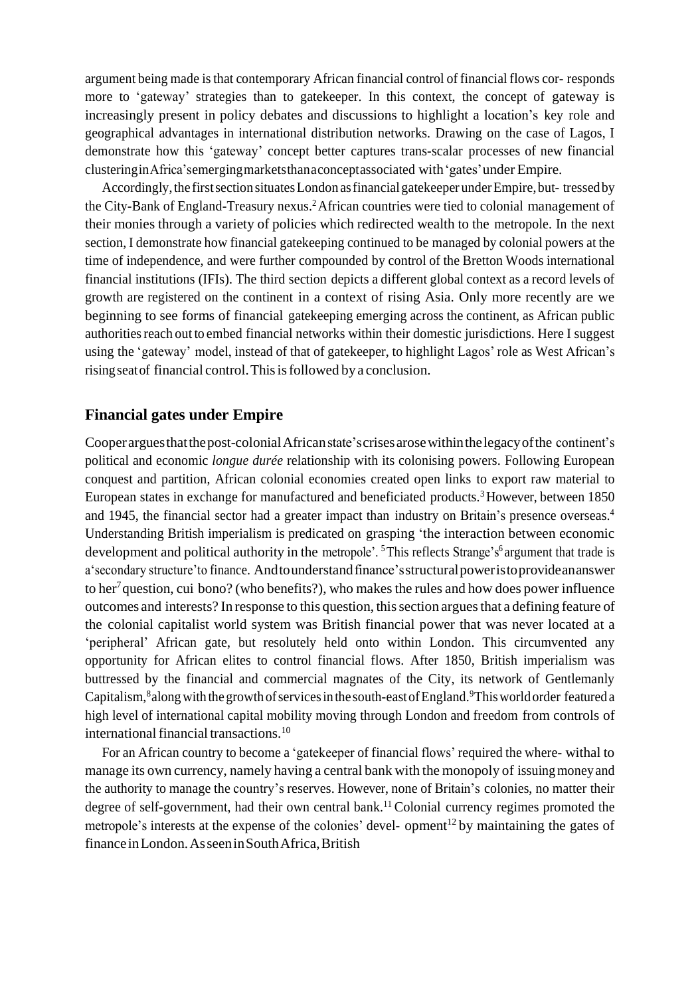argument being made isthat contemporary African financial control of financial flows cor- responds more to 'gateway' strategies than to gatekeeper. In this context, the concept of gateway is increasingly present in policy debates and discussions to highlight a location's key role and geographical advantages in international distribution networks. Drawing on the case of Lagos, I demonstrate how this 'gateway' concept better captures trans-scalar processes of new financial clusteringinAfrica'semergingmarketsthanaconceptassociated with'gates'under Empire.

Accordingly, the first section situates London as financial gate keeper under Empire, but- tressed by the City-Bank of England-Treasury nexus.<sup>2</sup>[A](#page-10-0)frican countries were tied to colonial management of their monies through a variety of policies which redirected wealth to the metropole. In the next section, I demonstrate how financial gatekeeping continued to be managed by colonial powers at the time of independence, and were further compounded by control of the Bretton Woods international financial institutions (IFIs). The third section depicts a different global context as a record levels of growth are registered on the continent in a context of rising Asia. Only more recently are we beginning to see forms of financial gatekeeping emerging across the continent, as African public authorities reach out to embed financial networks within their domestic jurisdictions. Here I suggest using the 'gateway' model, instead of that of gatekeeper, to highlight Lagos' role as West African's rising seat of financial control. This is followed by a conclusion.

#### **Financial gates under Empire**

Cooperarguesthatthepost-colonialAfricanstate'scrisesarosewithinthelegacyofthe continent's political and economic *longue durée* relationship with its colonising powers. Following European conquest and partition, African colonial economies created open links to export raw material to European states in exchange for manufactured and beneficiated product[s.](#page-10-1)<sup>3</sup> However, between 1850 and 1945, the financial sector had a greater impact than industry on Britain's presence oversea[s.](#page-11-0)<sup>4</sup> Understanding British imperialism is predicated on grasping 'the interaction between economic development and political authority in the metropole'. <sup>5</sup>[T](#page-11-0)hi[s](#page-11-1) reflects Strange's<sup>6</sup> argument that trade is a'secondary structure'to finance. Andtounderstandfinance'sstructuralpoweristoprovideananswer to her<sup>7</sup> [q](#page-11-2)uestion, cui bono? (who benefits?), who makes the rules and how does power influence outcomes and interests? In response to this question, thissection arguesthat a defining feature of the colonial capitalist world system was British financial power that was never located at a 'peripheral' African gate, but resolutely held onto within London. This circumvented any opportunity for African elites to control financial flows. After 1850, British imperialism was buttressed by the financial and commercial magnates of the City, its network of Gentlemanly Capitalism[,](#page-11-3)<sup>8</sup> along with the growth of services in the south-east of Englan[d.](#page-11-4)<sup>9</sup>This world order featured a high level of international capital mobility moving through London and freedom from controls of international financial transactions.<sup>[10](#page-11-5)</sup>

For an African country to become a 'gatekeeper of financial flows' required the where- withal to manage its own currency, namely having a central bank with the monopoly of issuingmoney and the authority to manage the country's reserves. However, none of Britain's colonies, no matter their degree of self-government, had their own central bank.<sup>[11](#page-11-6)</sup> Colonial currency regimes promoted the metropole's interests at the expense of the colonies' devel- opment<sup>[12](#page-11-7)</sup> by maintaining the gates of finance inLondon.AsseeninSouthAfrica,British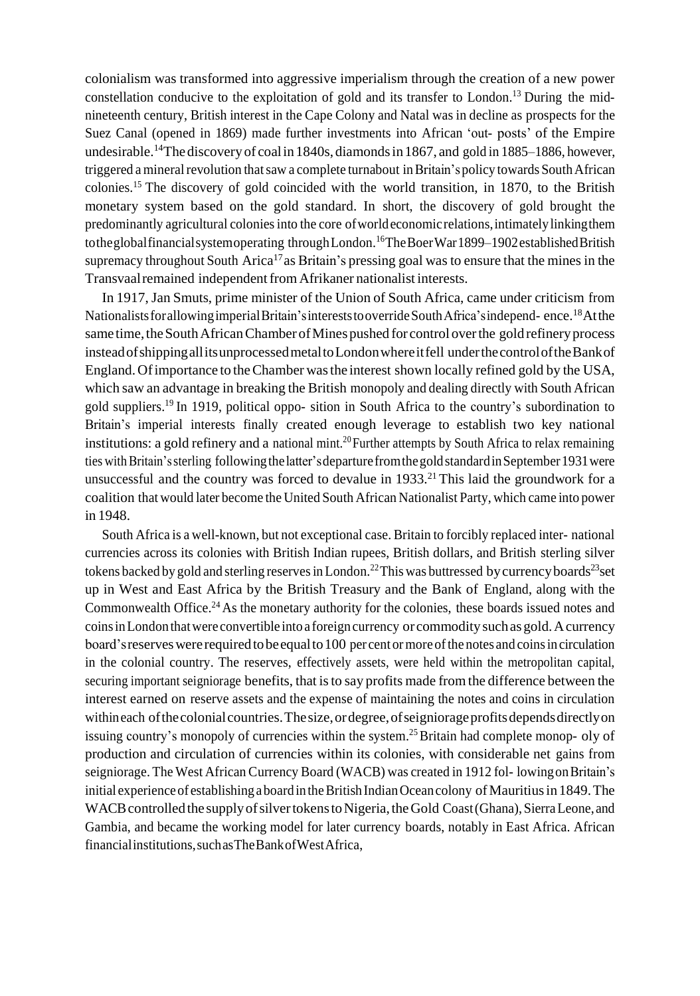colonialism was transformed into aggressive imperialism through the creation of a new power constellation conducive to the exploitation of gold and its transfer to London.[13](#page-11-8) During the midnineteenth century, British interest in the Cape Colony and Natal was in decline as prospects for the Suez Canal (opened in 1869) made further investments into African 'out- posts' of the Empire undesirable.[14](#page-11-9)Thediscoveryof coalin 1840s, diamondsin1867, and gold in 1885–1886, however, triggered a mineral revolution that saw a complete turnabout in Britain's policy towards South African colonies.<sup>[15](#page-11-10)</sup> The discovery of gold coincided with the world transition, in 1870, to the British monetary system based on the gold standard. In short, the discovery of gold brought the predominantly agricultural coloniesinto the core ofworldeconomicrelations,intimatelylinkingthem totheglobalfinancialsystemoperating throughLondon.[16](#page-11-11)TheBoerWar1899–1902establishedBritish supremacy throughout South Arica<sup>[17](#page-11-12)</sup> as Britain's pressing goal was to ensure that the mines in the Transvaalremained independentfromAfrikaner nationalist interests.

In 1917, Jan Smuts, prime minister of the Union of South Africa, came under criticism from NationalistsforallowingimperialBritain'sintereststooverrideSouthAfrica'sindepend- ence.[18](#page-11-13)Atthe same time, the South African Chamber of Mines pushed for control over the gold refinery process insteadofshippingallitsunprocessedmetaltoLondonwhereitfell underthecontroloftheBankof England.Ofimportance to theChamber wasthe interest shown locally refined gold by the USA, which saw an advantage in breaking the British monopoly and dealing directly with South African gold suppliers.[19](#page-11-14) In 1919, political oppo- sition in South Africa to the country's subordination to Britain's imperial interests finally created enough leverage to establish two key national institutions: a gold refinery and a national mint.<sup>[20](#page-11-15)</sup> Further attempts by South Africa to relax remaining ties with Britain's sterling following the latter's departure from the gold standard in September 1931 were unsuccessful and the country was forced to devalue in 1933.<sup>[21](#page-11-16)</sup> This laid the groundwork for a coalition that would later become the United South African Nationalist Party, which came into power in 1948.

South Africa is a well-known, but not exceptional case. Britain to forcibly replaced inter- national currencies across its colonies with British Indian rupees, British dollars, and British sterling silver tokens backed by gold and sterling reserves in London.<sup>[22](#page-11-17)</sup>This was buttressed by currency boards<sup>[23](#page-11-18)</sup>set up in West and East Africa by the British Treasury and the Bank of England, along with the Commonwealth Office.<sup>[24](#page-11-19)</sup> As the monetary authority for the colonies, these boards issued notes and coinsinLondon thatwere convertible into a foreign currency or commoditysuchas gold.Acurrency board's reserves were required to be equal to 100 per cent or more of the notes and coins in circulation in the colonial country. The reserves, effectively assets, were held within the metropolitan capital, securing important seigniorage benefits, that isto say profits made fromthe difference between the interest earned on reserve assets and the expense of maintaining the notes and coins in circulation withineach of the colonial countries. The size, or degree, of seigniorage profits depends directly on issuing country's monopoly of currencies within the system.<sup>[25](#page-11-20)</sup> Britain had complete monop- oly of production and circulation of currencies within its colonies, with considerable net gains from seigniorage. The West African Currency Board (WACB) was created in 1912 fol- lowingonBritain's initial experience of establishing a board in the British Indian Ocean colony of Mauritius in 1849. The WACB controlled the supply of silver tokens to Nigeria, the Gold Coast (Ghana), Sierra Leone, and Gambia, and became the working model for later currency boards, notably in East Africa. African financialinstitutions,suchasTheBankofWestAfrica,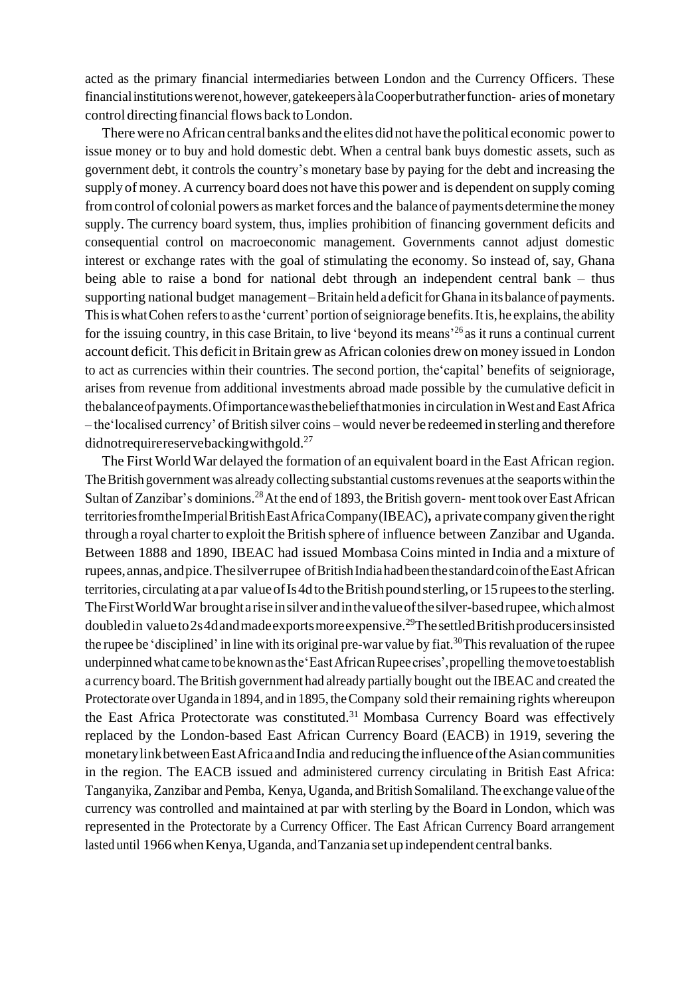acted as the primary financial intermediaries between London and the Currency Officers. These financialinstitutionswerenot,however,gatekeepersàlaCooperbutratherfunction- aries ofmonetary control directing financial flows back to London.

There were no African central banks and the elites did not have the political economic power to issue money or to buy and hold domestic debt. When a central bank buys domestic assets, such as government debt, it controls the country's monetary base by paying for the debt and increasing the supply of money. A currency board does not have this power and is dependent on supply coming from control of colonial powers as market forces and the balance of payments determine the money supply. The currency board system, thus, implies prohibition of financing government deficits and consequential control on macroeconomic management. Governments cannot adjust domestic interest or exchange rates with the goal of stimulating the economy. So instead of, say, Ghana being able to raise a bond for national debt through an independent central bank – thus supporting national budget management – Britain held a deficit for Ghana in its balance of payments. This is what Cohen refers to as the 'current' portion of seigniorage benefits. It is, he explains, the ability for the issuing country, in this case Britain, to live 'beyond its means'[26](#page-11-21) as it runs a continual current account deficit.This deficit inBritain grew as African colonies drewon money issued in London to act as currencies within their countries. The second portion, the'capital' benefits of seigniorage, arises from revenue from additional investments abroad made possible by the cumulative deficit in thebalanceofpayments.Ofimportancewasthebeliefthatmonies in circulation inWest andEastAfrica – the'localised currency' of British silver coins – would never be redeemed in sterling and therefore didnotrequirereservebackingwithgold.<sup>[27](#page-11-22)</sup>

The First World War delayed the formation of an equivalent board in the East African region. The British government was already collecting substantial customs revenues at the seaports within the Sultan of Zanzibar's dominions.<sup>[28](#page-11-23)</sup> At the end of 1893, the British govern- ment took over East African territoriesfromtheImperialBritishEastAfricaCompany(IBEAC)**,** aprivate companygiventhe right through a royal charter to exploit the British sphere of influence between Zanzibar and Uganda. Between 1888 and 1890, IBEAC had issued Mombasa Coins minted in India and a mixture of rupees, annas, and pice. The silver rupee of British Indiahad been the standard coin of the East African territories, circulating at a par value of Is 4d to the British pound sterling, or 15 rupees to the sterling. TheFirstWorldWar broughtariseinsilverandinthevalueofthesilver-basedrupee,whichalmost doubled in value to 2s 4d and made exports more expensive.<sup>[29](#page-11-24)</sup>The settled British producers insisted the rupee be 'disciplined' in line with its original pre-war value by fiat.<sup>[30](#page-11-25)</sup>This revaluation of the rupee underpinned what came to be known as the 'East African Rupee crises', propelling the move to establish a currency board. The British government had already partially bought out the IBEAC and created the Protectorate over Uganda in 1894, and in 1895, the Company sold their remaining rights whereupon the East Africa Protectorate was constituted.<sup>[31](#page-11-26)</sup> Mombasa Currency Board was effectively replaced by the London-based East African Currency Board (EACB) in 1919, severing the monetary link between East Africa and India and reducing the influence of the Asian communities in the region. The EACB issued and administered currency circulating in British East Africa: Tanganyika, Zanzibar and Pemba, Kenya, Uganda, andBritish Somaliland.The exchange value ofthe currency was controlled and maintained at par with sterling by the Board in London, which was represented in the Protectorate by a Currency Officer. The East African Currency Board arrangement lasted until 1966 when Kenya, Uganda, and Tanzania set up independent central banks.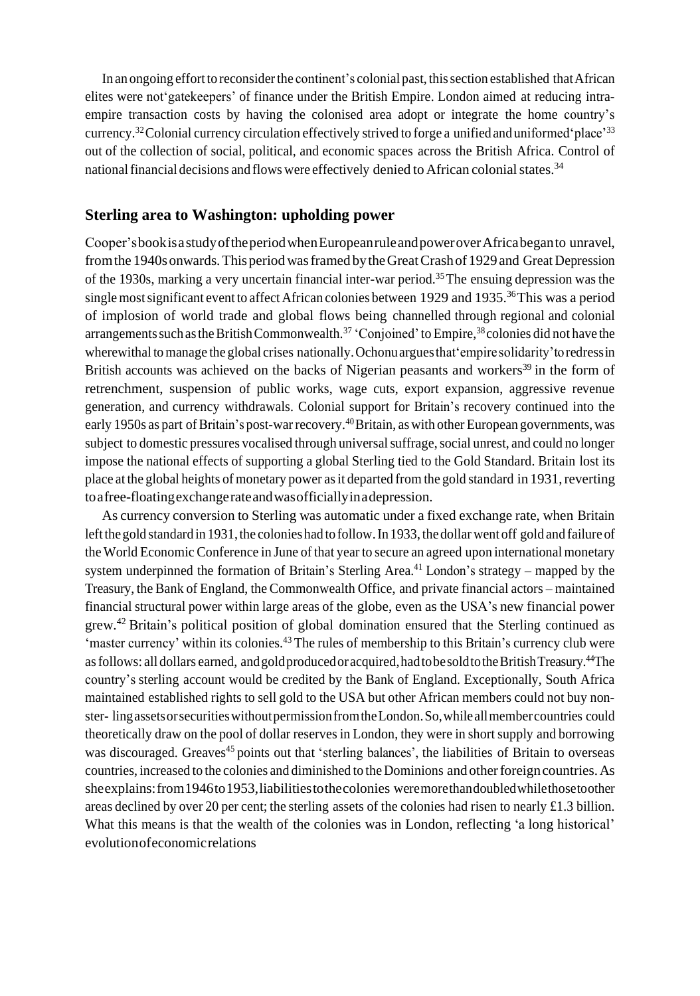In an ongoing effort to reconsider the continent's colonial past, this section established that African elites were not'gatekeepers' of finance under the British Empire. London aimed at reducing intraempire transaction costs by having the colonised area adopt or integrate the home country's currency.[32](#page-11-27)Colonial currency circulation effectively strived to forge a unified anduniformed'place'[33](#page-11-28) out of the collection of social, political, and economic spaces across the British Africa. Control of national financial decisions and flows were effectively denied to African colonial states.<sup>[34](#page-11-29)</sup>

#### **Sterling area to Washington: upholding power**

Cooper'sbookisastudyoftheperiodwhenEuropeanruleandpoweroverAfricabeganto unravel, from the 1940s onwards. This period was framed by the Great Crash of 1929 and Great Depression of the 1930s, marking a very uncertain financial inter-war period.[35](#page-11-30)The ensuing depression was the single most significant event to affect African colonies between 1929 and 1935.<sup>[36](#page-11-31)</sup>This was a period of implosion of world trade and global flows being channelled through regional and colonial arrangements such as the British Commonwealth.<sup>[37](#page-11-32)</sup> 'Conjoined' to Empire,  $38$  colonies did not have the wherewithal tomanage the global crises nationally.Ochonuarguesthat'empiresolidarity'toredressin British accounts was achieved on the backs of Nigerian peasants and workers<sup>[39](#page-11-34)</sup> in the form of retrenchment, suspension of public works, wage cuts, export expansion, aggressive revenue generation, and currency withdrawals. Colonial support for Britain's recovery continued into the early 1950s as part of Britain's post-war recovery.<sup>[40](#page-11-35)</sup>Britain, as with other European governments, was subject to domestic pressures vocalised through universal suffrage, social unrest, and could no longer impose the national effects of supporting a global Sterling tied to the Gold Standard. Britain lost its place at the global heights of monetary power as it departed from the gold standard in 1931, reverting toafree-floatingexchangerateandwasofficiallyinadepression.

As currency conversion to Sterling was automatic under a fixed exchange rate, when Britain left the gold standard in 1931, the colonies had to follow. In 1933, the dollar went off gold and failure of the World Economic Conference in June of that year to secure an agreed upon international monetary system underpinned the formation of Britain's Sterling Area.<sup>[41](#page-11-36)</sup> London's strategy – mapped by the Treasury, the Bank of England, the Commonwealth Office, and private financial actors – maintained financial structural power within large areas of the globe, even as the USA's new financial power grew.[42](#page-11-37) Britain's political position of global domination ensured that the Sterling continued as 'master currency' within its colonies.<sup>[43](#page-11-38)</sup> The rules of membership to this Britain's currency club were asfollows: all dollars earned, andgoldproducedoracquired,hadtobesoldtotheBritishTreasury.[44](#page-11-39)The country's sterling account would be credited by the Bank of England. Exceptionally, South Africa maintained established rights to sell gold to the USA but other African members could not buy nonster- lingassetsorsecuritieswithoutpermissionfromtheLondon.So,whileallmembercountries could theoretically draw on the pool of dollar reserves in London, they were in short supply and borrowing was discouraged. Greaves<sup>[45](#page-11-40)</sup> points out that 'sterling balances', the liabilities of Britain to overseas countries, increased to the colonies and diminished to the Dominions and other foreign countries. As sheexplains:from1946to1953,liabilitiestothecolonies weremorethandoubledwhilethosetoother areas declined by over 20 per cent; the sterling assets of the colonies had risen to nearly £1.3 billion. What this means is that the wealth of the colonies was in London, reflecting 'a long historical' evolutionofeconomicrelations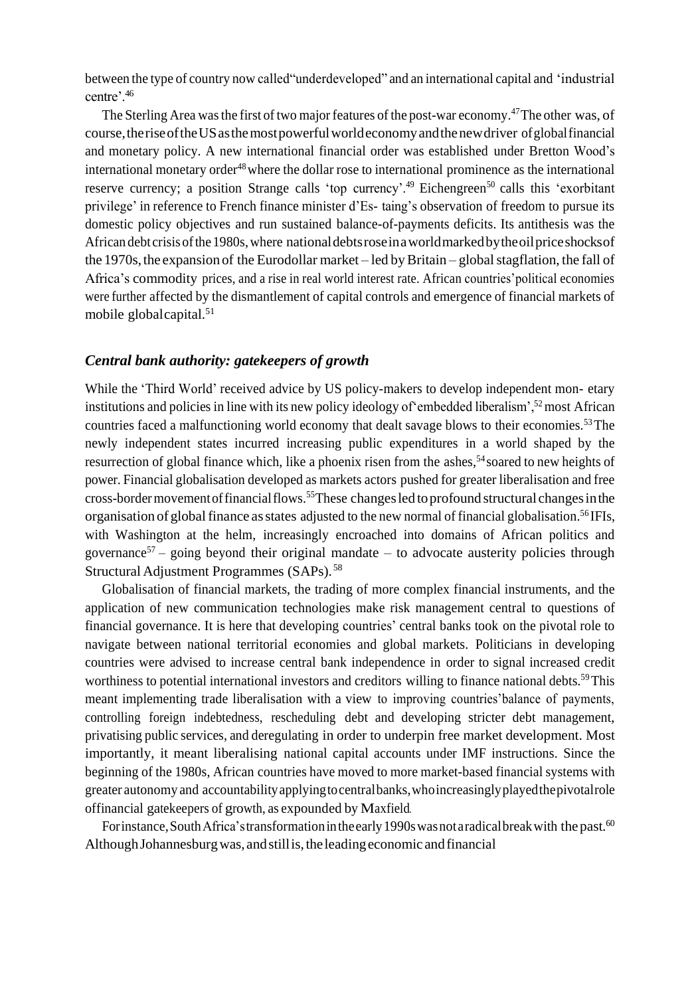between the type of country now called"underdeveloped" and an international capital and 'industrial centre'.[46](#page-11-41)

The Sterling Area was the first of two major features of the post-war economy.<sup>[47](#page-11-42)</sup>The other was, of course,theriseoftheUSasthemostpowerfulworldeconomyandthenewdriver ofglobalfinancial and monetary policy. A new international financial order was established under Bretton Wood's international monetary order<sup>[48](#page-11-43)</sup> where the dollar rose to international prominence as the international reserve currency; a position Strange calls 'top currency'.<sup>[49](#page-11-44)</sup> Eichengreen<sup>[50](#page-11-45)</sup> calls this 'exorbitant' privilege' in reference to French finance minister d'Es- taing's observation of freedom to pursue its domestic policy objectives and run sustained balance-of-payments deficits. Its antithesis was the African debt crisisofthe1980s,where nationaldebtsroseinaworldmarkedbytheoilpriceshocksof the 1970s, the expansion of the Eurodollar market – led by Britain – global stagflation, the fall of Africa's commodity prices, and a rise in real world interest rate. African countries'political economies were further affected by the dismantlement of capital controls and emergence of financial markets of mobile globalcapital.<sup>[51](#page-11-46)</sup>

### *Central bank authority: gatekeepers of growth*

While the 'Third World' received advice by US policy-makers to develop independent mon- etary institutions and policies in line with its new policy ideology of embedded liberalism',<sup>[52](#page-11-47)</sup> most African countries faced a malfunctioning world economy that dealt savage blows to their economies.[53](#page-12-0)The newly independent states incurred increasing public expenditures in a world shaped by the resurrection of global finance which, like a phoenix risen from the ashes, $54$  soared to new heights of power. Financial globalisation developed as markets actors pushed for greater liberalisation and free cross-border movement of financial flows.<sup>[55](#page-12-1)</sup>These changes led to profound structural changes in the organisation of global finance as states adjusted to the new normal of financial globalisation.<sup>[56](#page-12-2)</sup> IFIs, with Washington at the helm, increasingly encroached into domains of African politics and governance<sup>[57](#page-12-3)</sup> – going beyond their original mandate – to advocate austerity policies through Structural Adjustment Programmes (SAPs). [58](#page-12-4)

Globalisation of financial markets, the trading of more complex financial instruments, and the application of new communication technologies make risk management central to questions of financial governance. It is here that developing countries' central banks took on the pivotal role to navigate between national territorial economies and global markets. Politicians in developing countries were advised to increase central bank independence in order to signal increased credit worthiness to potential international investors and creditors willing to finance national debts.<sup>[59](#page-12-5)</sup>This meant implementing trade liberalisation with a view to improving countries'balance of payments, controlling foreign indebtedness, rescheduling debt and developing stricter debt management, privatising public services, and deregulating in order to underpin free market development. Most importantly, it meant liberalising national capital accounts under IMF instructions. Since the beginning of the 1980s, African countries have moved to more market-based financial systems with greater autonomy and accountabilityapplyingtocentralbanks,whoincreasinglyplayedthepivotalrole offinancial gatekeepers of growth, as expounded by Maxfield.

For instance, South Africa's transformation in the early 1990s was not a radical break with the past.<sup>[60](#page-12-6)</sup> Although Johannesburg was, and still is, the leading economic and financial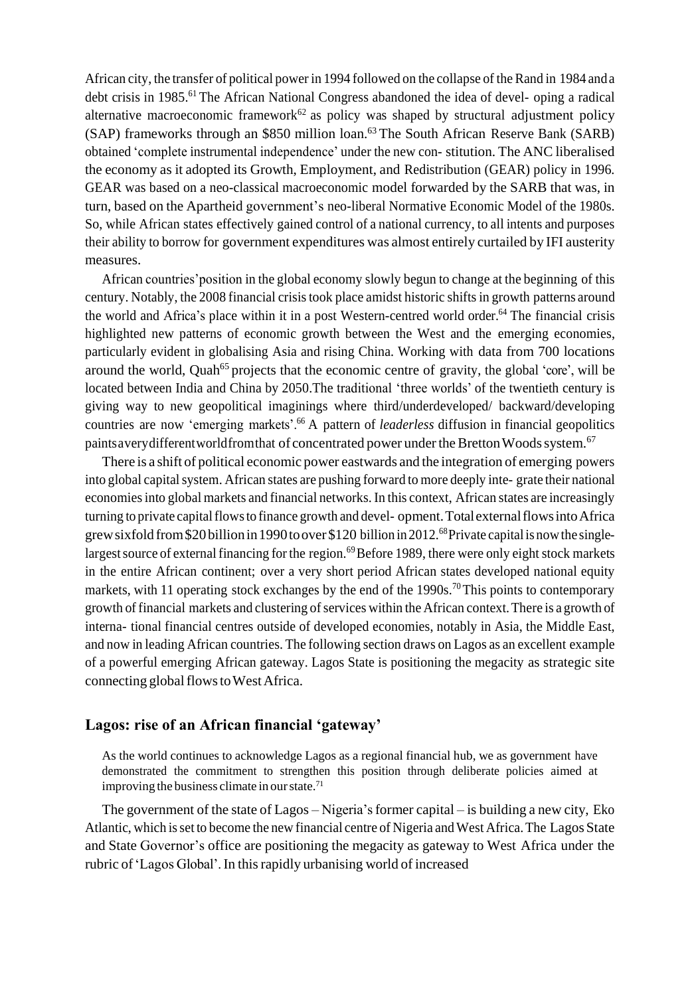African city, the transfer of political power in 1994 followed on the collapse of theRand in 1984 anda debt crisis in 1985.[61](#page-12-7) The African National Congress abandoned the idea of devel- oping a radical alternative macroeconomic framework<sup>[62](#page-12-8)</sup> as policy was shaped by structural adjustment policy (SAP) frameworks through an \$850 million loan.<sup>[63](#page-12-9)</sup> The South African Reserve Bank (SARB) obtained 'complete instrumental independence' under the new con- stitution. The ANC liberalised the economy as it adopted its Growth, Employment, and Redistribution (GEAR) policy in 1996. GEAR was based on a neo-classical macroeconomic model forwarded by the SARB that was, in turn, based on the Apartheid government's neo-liberal Normative Economic Model of the 1980s. So, while African states effectively gained control of a national currency, to all intents and purposes their ability to borrow for government expenditures was almost entirely curtailed by IFI austerity measures.

African countries'position in the global economy slowly begun to change at the beginning of this century. Notably, the 2008 financial crisistook place amidst historic shiftsin growth patterns around the world and Africa's place within it in a post Western-centred world order.<sup>[64](#page-12-10)</sup> The financial crisis highlighted new patterns of economic growth between the West and the emerging economies, particularly evident in globalising Asia and rising China. Working with data from 700 locations around the world, Quah<sup>[65](#page-12-11)</sup> projects that the economic centre of gravity, the global 'core', will be located between India and China by 2050.The traditional 'three worlds' of the twentieth century is giving way to new geopolitical imaginings where third/underdeveloped/ backward/developing countries are now 'emerging markets'.[66](#page-12-12) A pattern of *leaderless* diffusion in financial geopolitics paints avery different world from that of concentrated power under the Bretton Woods system.<sup>[67](#page-12-13)</sup>

There is a shift of political economic power eastwards and the integration of emerging powers into global capitalsystem. African states are pushing forward to more deeply inte- grate their national economiesinto global markets and financial networks. In this context, African states are increasingly turning to private capitalflowsto finance growth and devel- opment.TotalexternalflowsintoAfrica grewsixfold from\$20billionin1990toover \$120 billion in 2012.[68](#page-12-14)Private capitalisnowthe single-largest source of external financing for the region.<sup>[69](#page-12-15)</sup>Before 1989, there were only eight stock markets in the entire African continent; over a very short period African states developed national equity markets, with 11 operating stock exchanges by the end of the  $1990s$ .<sup>[70](#page-12-16)</sup>This points to contemporary growth of financial markets and clustering of services within the African context. There is a growth of interna- tional financial centres outside of developed economies, notably in Asia, the Middle East, and now in leading African countries. The following section draws on Lagos as an excellent example of a powerful emerging African gateway. Lagos State is positioning the megacity as strategic site connecting global flows to West Africa.

#### **Lagos: rise of an African financial 'gateway'**

As the world continues to acknowledge Lagos as a regional financial hub, we as government have demonstrated the commitment to strengthen this position through deliberate policies aimed at improving the business climate in our state. $71$ 

The government of the state of Lagos – Nigeria'sformer capital – is building a new city, Eko Atlantic, which isset to become the new financial centre of Nigeria and West Africa.The Lagos State and State Governor's office are positioning the megacity as gateway to West Africa under the rubric of'Lagos Global'.In thisrapidly urbanising world of increased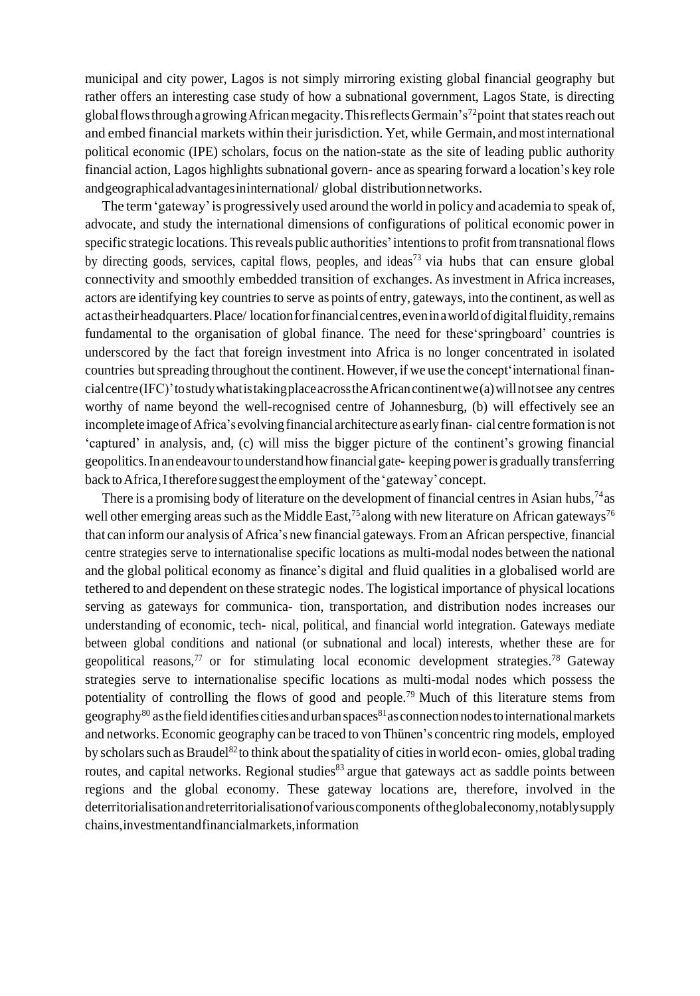municipal and city power, Lagos is not simply mirroring existing global financial geography but rather offers an interesting case study of how a subnational government, Lagos State, is directing global flows through a growing African megacity. This reflects Germain's<sup>[72](#page-12-18)</sup> point that states reach out and embed financial markets within their jurisdiction. Yet, while Germain, andmostinternational political economic (IPE) scholars, focus on the nation-state as the site of leading public authority financial action, Lagos highlights subnational govern- ance asspearing forward a location's key role andgeographicaladvantagesininternational/ global distributionnetworks.

The term'gateway'is progressively used around the world in policy and academia to speak of, advocate, and study the international dimensions of configurations of political economic power in specific strategic locations.Thisreveals public authorities'intentionsto profit from transnational flows by directing goods, services, capital flows, peoples, and ideas<sup>[73](#page-12-19)</sup> via hubs that can ensure global connectivity and smoothly embedded transition of exchanges. Asinvestment in Africa increases, actors are identifying key countries to serve as points of entry, gateways, into the continent, as well as actastheirheadquarters.Place/ locationforfinancialcentres,eveninaworldofdigitalfluidity,remains fundamental to the organisation of global finance. The need for these'springboard' countries is underscored by the fact that foreign investment into Africa is no longer concentrated in isolated countries but spreading throughout the continent. However, if we use the concept international financialcentre(IFC)'tostudywhatistakingplaceacrosstheAfricancontinentwe(a)willnotsee any centres worthy of name beyond the well-recognised centre of Johannesburg, (b) will effectively see an incomplete imageofAfrica'sevolvingfinancial architecture as earlyfinan- cial centre formation is not 'captured' in analysis, and, (c) will miss the bigger picture of the continent's growing financial geopolitics.In an endeavourtounderstandhowfinancial gate- keeping poweris gradually transferring back to Africa, I therefore suggest the employment of the 'gateway' concept.

There is a promising body of literature on the development of financial centres in Asian hubs.<sup>[74](#page-12-20)</sup> as well other emerging areas such as the Middle East,<sup>[75](#page-12-21)</sup> along with new literature on African gateways<sup>[76](#page-12-22)</sup> that can inform our analysis of Africa's new financial gateways. From an African perspective, financial centre strategies serve to internationalise specific locations as multi-modal nodes between the national and the global political economy as finance's digital and fluid qualities in a globalised world are tethered to and dependent on these strategic nodes. The logistical importance of physical locations serving as gateways for communica- tion, transportation, and distribution nodes increases our understanding of economic, tech- nical, political, and financial world integration. Gateways mediate between global conditions and national (or subnational and local) interests, whether these are for geopolitical reasons, $^{77}$  $^{77}$  $^{77}$  or for stimulating local economic development strategies.<sup>[78](#page-12-24)</sup> Gateway strategies serve to internationalise specific locations as multi-modal nodes which possess the potentiality of controlling the flows of good and people.<sup>[79](#page-12-25)</sup> Much of this literature stems from geography<sup>[80](#page-12-26)</sup> as the field identifies cities and urban spaces<sup>[81](#page-12-27)</sup> as connection nodes to international markets and networks. Economic geography can be traced to von Thünen's concentric ring models, employed by scholars such as Braudel<sup>[82](#page-12-28)</sup> to think about the spatiality of cities in world econ- omies, global trading routes, and capital networks. Regional studies<sup>[83](#page-12-29)</sup> argue that gateways act as saddle points between regions and the global economy. These gateway locations are, therefore, involved in the deterritorialisationandreterritorialisationofvariouscomponents oftheglobaleconomy,notablysupply chains,investmentandfinancialmarkets,information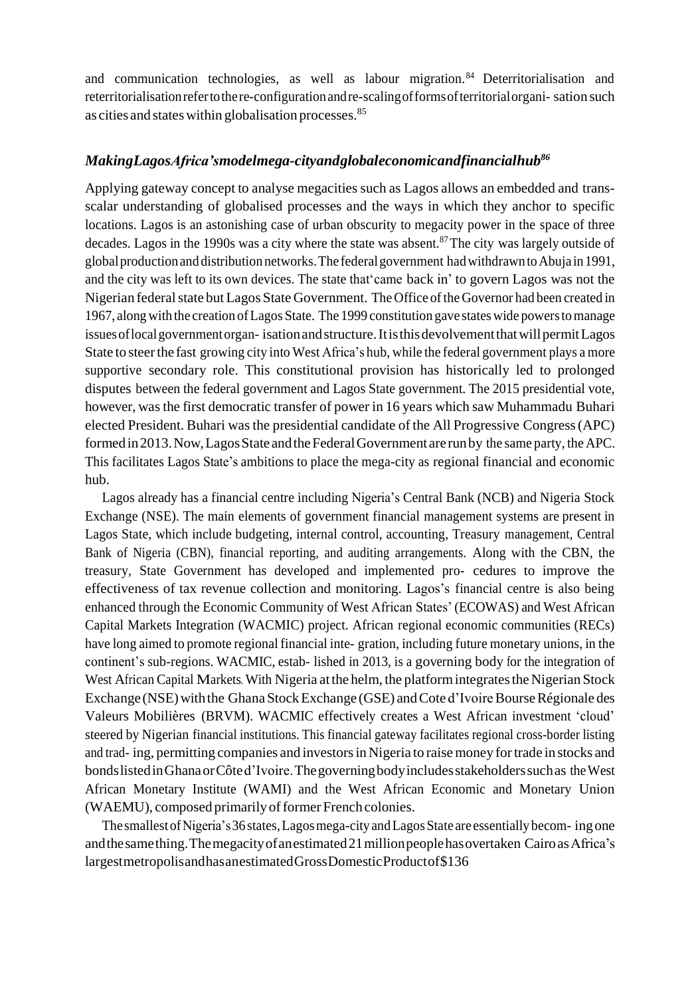and communication technologies, as well as labour migration.[84](#page-12-30) Deterritorialisation and reterritorialisationrefertothere-configurationandre-scalingofformsofterritorialorgani- sation such as cities and states within globalisation processes.<sup>[85](#page-12-31)</sup>

#### *MakingLagosAfrica'smodelmega-cityandglobaleconomicandfinancialhub[86](#page-12-32)*

Applying gateway concept to analyse megacities such as Lagos allows an embedded and transscalar understanding of globalised processes and the ways in which they anchor to specific locations. Lagos is an astonishing case of urban obscurity to megacity power in the space of three decades. Lagos in the 1990s was a city where the state was absent.<sup>[87](#page-12-33)</sup>The city was largely outside of global production and distribution networks. The federal government had withdrawn to Abuja in 1991, and the city was left to its own devices. The state that'came back in' to govern Lagos was not the Nigerian federal state but Lagos State Government. The Office of the Governor had been created in 1967, along with the creation of Lagos State. The 1999 constitution gave states wide powers to manage issuesoflocalgovernmentorgan- isationandstructure.ItisthisdevolvementthatwillpermitLagos State to steerthe fast growing city into West Africa's hub, while the federal government plays a more supportive secondary role. This constitutional provision has historically led to prolonged disputes between the federal government and Lagos State government. The 2015 presidential vote, however, wasthe first democratic transfer of power in 16 years which saw Muhammadu Buhari elected President. Buhari wasthe presidential candidate of the All Progressive Congress(APC) formed in 2013. Now, Lagos State and the Federal Government are run by the same party, the APC. This facilitates Lagos State's ambitions to place the mega-city as regional financial and economic hub.

Lagos already has a financial centre including Nigeria's Central Bank (NCB) and Nigeria Stock Exchange (NSE). The main elements of government financial management systems are present in Lagos State, which include budgeting, internal control, accounting, Treasury management, Central Bank of Nigeria (CBN), financial reporting, and auditing arrangements. Along with the CBN, the treasury, State Government has developed and implemented pro- cedures to improve the effectiveness of tax revenue collection and monitoring. Lagos's financial centre is also being enhanced through the Economic Community of West African States' (ECOWAS) and West African Capital Markets Integration (WACMIC) project. African regional economic communities (RECs) have long aimed to promote regional financial inte- gration, including future monetary unions, in the continent's sub-regions. WACMIC, estab- lished in 2013, is a governing body for the integration of West African Capital Markets. With Nigeria at the helm, the platformintegratesthe Nigerian Stock Exchange (NSE)withthe GhanaStockExchange (GSE) andCote d'IvoireBourseRégionale des Valeurs Mobilières (BRVM). WACMIC effectively creates a West African investment 'cloud' steered by Nigerian financial institutions. This financial gateway facilitates regional cross-border listing and trad-ing, permitting companies and investors in Nigeria to raise money for trade in stocks and bondslistedinGhanaorCôted'Ivoire.Thegoverningbodyincludesstakeholderssuchas theWest African Monetary Institute (WAMI) and the West African Economic and Monetary Union (WAEMU), composed primarilyofformer French colonies.

The smallest of Nigeria's 36 states, Lagos mega-city and Lagos State are essentially becom- ing one andthesamething.Themegacityofanestimated21millionpeoplehasovertaken CairoasAfrica's largestmetropolisandhasanestimatedGrossDomesticProductof\$136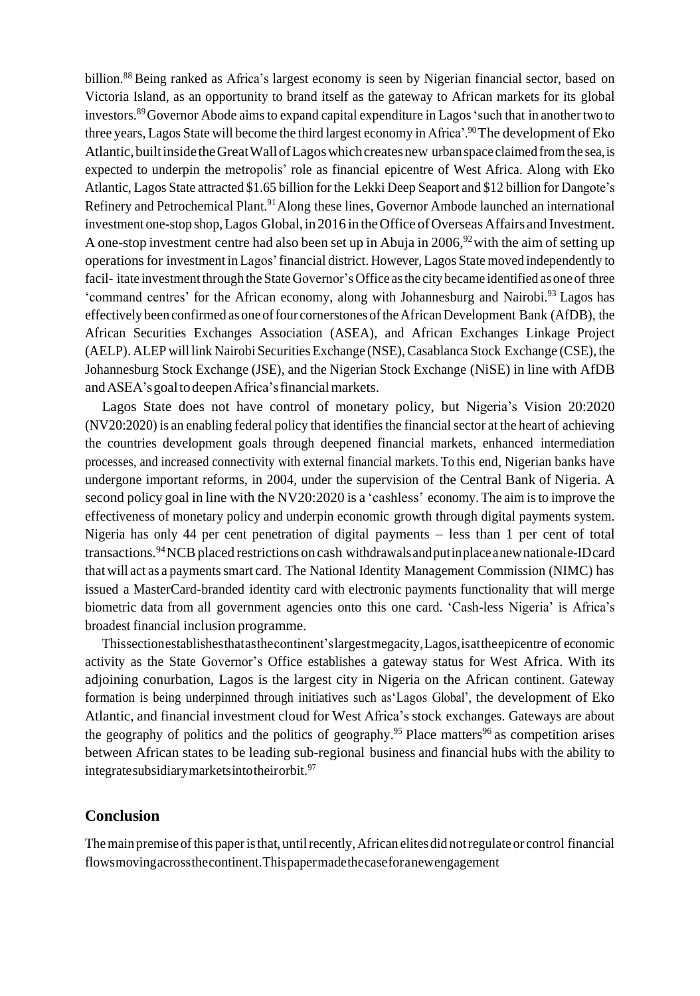billion.[88](#page-12-34) Being ranked as Africa's largest economy is seen by Nigerian financial sector, based on Victoria Island, as an opportunity to brand itself as the gateway to African markets for its global investors.[89](#page-12-35)Governor Abode aims to expand capital expenditure in Lagos'such that in anothertwo to three years, Lagos State will become the third largest economy in Africa'.<sup>[90](#page-12-36)</sup>The development of Eko Atlantic, built inside the Great Wall of Lagos which creates new urban space claimed from the sea, is expected to underpin the metropolis' role as financial epicentre of West Africa. Along with Eko Atlantic, Lagos State attracted \$1.65 billion for the Lekki Deep Seaport and \$12 billion for Dangote's Refinery and Petrochemical Plant.<sup>[91](#page-12-37)</sup> Along these lines, Governor Ambode launched an international investment one-stop shop, Lagos Global, in 2016 in the Office of Overseas Affairs and Investment. A one-stop investment centre had also been set up in Abuja in  $2006<sup>92</sup>$  $2006<sup>92</sup>$  $2006<sup>92</sup>$  with the aim of setting up operationsfor investment in Lagos'financial district. However,Lagos State moved independently to facil-itate investment through the State Governor's Office as the city became identified as one of three 'command centres' for the African economy, along with Johannesburg and Nairobi.[93](#page-12-39) Lagos has effectively been confirmed as one offour cornerstones oftheAfrican Development Bank (AfDB), the African Securities Exchanges Association (ASEA), and African Exchanges Linkage Project (AELP). ALEP will link Nairobi Securities Exchange (NSE),Casablanca Stock Exchange (CSE), the Johannesburg Stock Exchange (JSE), and the Nigerian Stock Exchange (NiSE) in line with AfDB andASEA'sgoaltodeepenAfrica'sfinancialmarkets.

Lagos State does not have control of monetary policy, but Nigeria's Vision 20:2020 (NV20:2020) is an enabling federal policy that identifies the financialsector at the heart of achieving the countries development goals through deepened financial markets, enhanced intermediation processes, and increased connectivity with external financial markets. To this end, Nigerian banks have undergone important reforms, in 2004, under the supervision of the Central Bank of Nigeria. A second policy goal in line with the NV20:2020 is a 'cashless' economy. The aim isto improve the effectiveness of monetary policy and underpin economic growth through digital payments system. Nigeria has only 44 per cent penetration of digital payments – less than 1 per cent of total transactions.<sup>[94](#page-12-40)</sup>NCB placed restrictions on cash withdrawals and put in place a new nationale-IDcard that will act as a paymentssmart card. The National Identity Management Commission (NIMC) has issued a MasterCard-branded identity card with electronic payments functionality that will merge biometric data from all government agencies onto this one card. 'Cash-less Nigeria' is Africa's broadest financial inclusion programme.

Thissectionestablishesthatasthecontinent'slargestmegacity,Lagos,isattheepicentre of economic activity as the State Governor's Office establishes a gateway status for West Africa. With its adjoining conurbation, Lagos is the largest city in Nigeria on the African continent. Gateway formation is being underpinned through initiatives such as'Lagos Global', the development of Eko Atlantic, and financial investment cloud for West Africa's stock exchanges. Gateways are about the geography of politics and the politics of geography.<sup>[95](#page-12-41)</sup> Place matters<sup>[96](#page-12-42)</sup> as competition arises between African states to be leading sub-regional business and financial hubs with the ability to integratesubsidiary markets into their orbit.<sup>[97](#page-12-43)</sup>

#### **Conclusion**

The main premise of this paper is that, until recently, African elites did not regulate or control financial flowsmovingacrossthecontinent.Thispapermadethecaseforanewengagement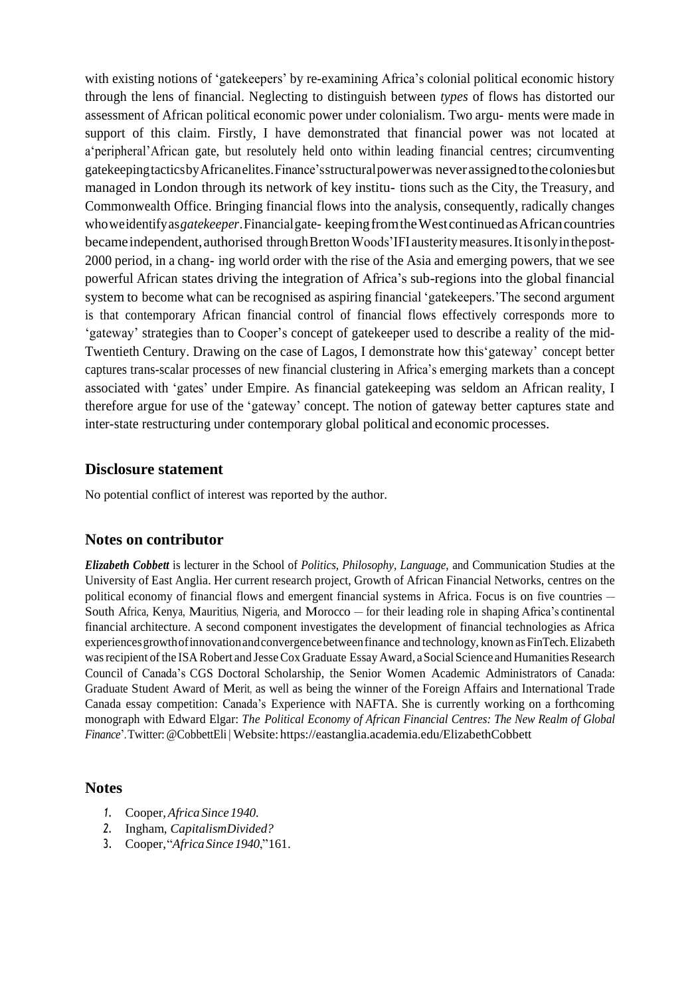with existing notions of 'gatekeepers' by re-examining Africa's colonial political economic history through the lens of financial. Neglecting to distinguish between *types* of flows has distorted our assessment of African political economic power under colonialism. Two argu- ments were made in support of this claim. Firstly, I have demonstrated that financial power was not located at a'peripheral'African gate, but resolutely held onto within leading financial centres; circumventing gatekeepingtacticsbyAfricanelites.Finance'sstructuralpowerwas neverassignedtothecoloniesbut managed in London through its network of key institu- tions such as the City, the Treasury, and Commonwealth Office. Bringing financial flows into the analysis, consequently, radically changes whoweidentifyas*gatekeeper*.Financialgate- keepingfromtheWestcontinuedasAfricancountries became independent, authorised through Bretton Woods'IFI austerity measures. It is only in the post-2000 period, in a chang- ing world order with the rise of the Asia and emerging powers, that we see powerful African states driving the integration of Africa's sub-regions into the global financial system to become what can be recognised as aspiring financial 'gatekeepers.'The second argument is that contemporary African financial control of financial flows effectively corresponds more to 'gateway' strategies than to Cooper's concept of gatekeeper used to describe a reality of the mid-Twentieth Century. Drawing on the case of Lagos, I demonstrate how this'gateway' concept better captures trans-scalar processes of new financial clustering in Africa's emerging markets than a concept associated with 'gates' under Empire. As financial gatekeeping was seldom an African reality, I therefore argue for use of the 'gateway' concept. The notion of gateway better captures state and inter-state restructuring under contemporary global political and economic processes.

#### **Disclosure statement**

No potential conflict of interest was reported by the author.

#### **Notes on contributor**

*Elizabeth Cobbett* is lecturer in the School of *Politics, Philosophy, Language,* and Communication Studies at the University of East Anglia. Her current research project, Growth of African Financial Networks, centres on the political economy of financial flows and emergent financial systems in Africa. Focus is on five countries – South Africa, Kenya, Mauritius, Nigeria, and Morocco – for their leading role in shaping Africa's continental financial architecture. A second component investigates the development of financial technologies as Africa experiencesgrowthofinnovationandconvergencebetweenfinance and technology, known as FinTech.Elizabeth was recipient of the ISA Robert and Jesse Cox Graduate Essay Award, a Social Science and Humanities Research Council of Canada's CGS Doctoral Scholarship, the Senior Women Academic Administrators of Canada: Graduate Student Award of Merit, as well as being the winner of the Foreign Affairs and International Trade Canada essay competition: Canada's Experience with NAFTA. She is currently working on a forthcoming monograph with Edward Elgar: *The Political Economy of African Financial Centres: The New Realm of Global Finance*'.Twitter: @CobbettEli | Website[:https://eastanglia.academia.edu/ElizabethCobbett](https://eastanglia.academia.edu/ElizabethCobbett)

#### <span id="page-10-0"></span>**Notes**

- *1.* Cooper,*Africa Since1940.*
- <span id="page-10-1"></span>*2.* Ingham, *CapitalismDivided?*
- 3. Cooper,"*Africa Since1940*,"161.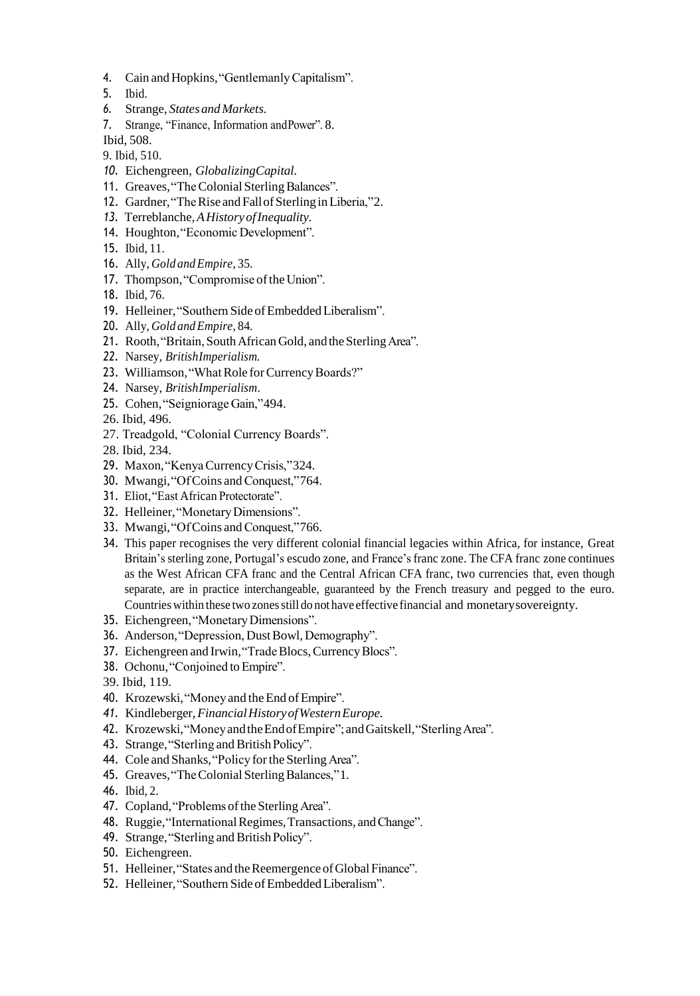- <span id="page-11-0"></span>4. Cain and Hopkins,"GentlemanlyCapitalism".
- <span id="page-11-1"></span>5. Ibid.
- <span id="page-11-2"></span>*6.* Strange, *StatesandMarkets.*
- <span id="page-11-4"></span><span id="page-11-3"></span>7. Strange, "Finance, Information andPower". 8.

Ibid*,* 508.

- <span id="page-11-5"></span>9. Ibid, 510.
- <span id="page-11-6"></span>*10.* Eichengreen, *GlobalizingCapital.*
- <span id="page-11-7"></span>11. Greaves, "The Colonial Sterling Balances".
- <span id="page-11-8"></span>12. Gardner, "The Rise and Fall of Sterling in Liberia,"2.
- <span id="page-11-9"></span>*13.* Terreblanche,*AHistoryofInequality.*
- <span id="page-11-10"></span>14. Houghton,"Economic Development".
- <span id="page-11-11"></span>15. Ibid, 11.
- <span id="page-11-12"></span>16. Ally, *Gold andEmpire*, 35.
- <span id="page-11-13"></span>17. Thompson, "Compromise of the Union".
- <span id="page-11-14"></span>18. Ibid, 76.
- <span id="page-11-15"></span>19. Helleiner, "Southern Side of Embedded Liberalism".
- <span id="page-11-16"></span>20. Ally, *Gold andEmpire*, 84.
- <span id="page-11-17"></span>21. Rooth,"Britain,SouthAfricanGold, and theSterlingArea".
- <span id="page-11-18"></span>*22.* Narsey, *BritishImperialism.*
- <span id="page-11-19"></span>23. Williamson, "What Role for Currency Boards?"
- <span id="page-11-20"></span>24. Narsey, *BritishImperialism*.
- <span id="page-11-21"></span>25. Cohen,"Seigniorage Gain,"494.
- <span id="page-11-22"></span>26. Ibid, 496.
- <span id="page-11-23"></span>27. Treadgold, "Colonial Currency Boards".
- <span id="page-11-24"></span>28. Ibid, 234.
- <span id="page-11-25"></span>29. Maxon,"KenyaCurrencyCrisis,"324.
- <span id="page-11-26"></span>30. Mwangi, "Of Coins and Conquest,"764.
- <span id="page-11-27"></span>31. Eliot,"East African Protectorate".
- <span id="page-11-28"></span>32. Helleiner,"MonetaryDimensions".
- <span id="page-11-29"></span>33. Mwangi, "Of Coins and Conquest,"766.
- 34. This paper recognises the very different colonial financial legacies within Africa, for instance, Great Britain's sterling zone, Portugal's escudo zone, and France's franc zone. The CFA franc zone continues as the West African CFA franc and the Central African CFA franc, two currencies that, even though separate, are in practice interchangeable, guaranteed by the French treasury and pegged to the euro. Countries within these two zonesstill do not have effective financial and monetarysovereignty.
- <span id="page-11-31"></span><span id="page-11-30"></span>35. Eichengreen,"MonetaryDimensions".
- <span id="page-11-32"></span>36. Anderson, "Depression, Dust Bowl, Demography".
- <span id="page-11-33"></span>37. Eichengreen and Irwin, "Trade Blocs, Currency Blocs".
- <span id="page-11-34"></span>38. Ochonu,"Conjoined to Empire".
- <span id="page-11-35"></span>39. Ibid, 119.
- <span id="page-11-36"></span>40. Krozewski,"Money and theEnd ofEmpire".
- <span id="page-11-37"></span>*41.* Kindleberger,*FinancialHistoryofWesternEurope.*
- <span id="page-11-38"></span>42. Krozewski,"MoneyandtheEndofEmpire"; andGaitskell,"SterlingArea".
- <span id="page-11-39"></span>43. Strange, "Sterling and British Policy".
- <span id="page-11-40"></span>44. Cole and Shanks,"Policy forthe Sterling Area".
- <span id="page-11-41"></span>45. Greaves, "The Colonial Sterling Balances,"1.
- <span id="page-11-42"></span>46. Ibid, 2.
- <span id="page-11-43"></span>47. Copland, "Problems of the Sterling Area".
- <span id="page-11-44"></span>48. Ruggie, "International Regimes, Transactions, and Change".
- <span id="page-11-45"></span>49. Strange, "Sterling and British Policy".
- <span id="page-11-46"></span>50. Eichengreen.
- <span id="page-11-47"></span>51. Helleiner, "States and the Reemergence of Global Finance".
- 52. Helleiner, "Southern Side of Embedded Liberalism".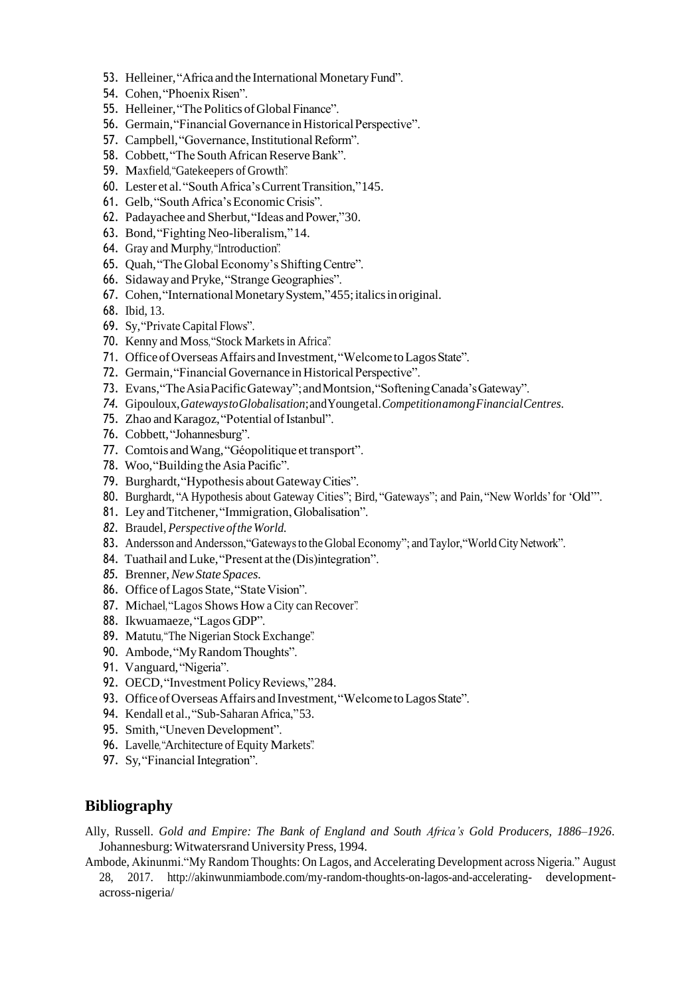- <span id="page-12-0"></span>53. Helleiner, "Africa and the International Monetary Fund".
- <span id="page-12-1"></span>54. Cohen, "Phoenix Risen".
- <span id="page-12-2"></span>55. Helleiner, "The Politics of Global Finance".
- <span id="page-12-3"></span>56. Germain, "Financial Governance in Historical Perspective".
- <span id="page-12-4"></span>57. Campbell, "Governance, Institutional Reform".
- <span id="page-12-5"></span>58. Cobbett, "The South African Reserve Bank".
- <span id="page-12-6"></span>59. Maxfield, "Gatekeepers of Growth".
- <span id="page-12-7"></span>60. Lester et al."South Africa'sCurrentTransition,"145.
- <span id="page-12-8"></span>61. Gelb,"South Africa'sEconomicCrisis".
- <span id="page-12-9"></span>62. Padayachee and Sherbut,"Ideas and Power,"30.
- <span id="page-12-10"></span>63. Bond,"Fighting Neo-liberalism,"14.
- <span id="page-12-11"></span>64. Gray and Murphy, "Introduction".
- <span id="page-12-12"></span>65. Quah,"TheGlobal Economy's ShiftingCentre".
- <span id="page-12-13"></span>66. Sidaway and Pryke,"Strange Geographies".
- <span id="page-12-14"></span>67. Cohen,"InternationalMonetarySystem,"455;italicsin original.
- <span id="page-12-15"></span>68. Ibid, 13.
- <span id="page-12-16"></span>69. Sy,"PrivateCapital Flows".
- <span id="page-12-17"></span>70. Kenny and Moss, "Stock Markets in Africa".
- <span id="page-12-18"></span>71. Office of Overseas Affairs and Investment, "Welcome to Lagos State".
- <span id="page-12-19"></span>72. Germain, "Financial Governance in Historical Perspective".
- <span id="page-12-20"></span>73. Evans,"TheAsiaPacificGateway";andMontsion,"SofteningCanada'sGateway".
- <span id="page-12-21"></span>*74.* Gipouloux,*GatewaystoGlobalisation*;andYoungetal.*CompetitionamongFinancialCentres.*
- <span id="page-12-22"></span>75. Zhao and Karagoz, "Potential of Istanbul".
- <span id="page-12-23"></span>76. Cobbett,"Johannesburg".
- <span id="page-12-24"></span>77. Comtois andWang,"Géopolitique et transport".
- <span id="page-12-25"></span>78. Woo, "Building the Asia Pacific".
- <span id="page-12-26"></span>79. Burghardt,"Hypothesis about GatewayCities".
- <span id="page-12-27"></span>80. Burghardt, "A Hypothesis about Gateway Cities"; Bird, "Gateways"; and Pain, "New Worlds'for 'Old'".
- <span id="page-12-28"></span>81. Ley andTitchener,"Immigration,Globalisation".
- <span id="page-12-29"></span>*82.* Braudel, *Perspective ofthe World.*
- <span id="page-12-30"></span>83. Andersson and Andersson, "Gateways to the Global Economy"; and Taylor, "World City Network".
- <span id="page-12-31"></span>84. Tuathail and Luke, "Present at the (Dis)integration".
- <span id="page-12-32"></span>*85.* Brenner,*NewStateSpaces.*
- <span id="page-12-33"></span>86. Office of Lagos State, "State Vision".
- <span id="page-12-34"></span>87. Michael,"Lagos Shows How a City can Recover".
- <span id="page-12-35"></span>88. Ikwuamaeze,"Lagos GDP".
- <span id="page-12-36"></span>89. Matutu, "The Nigerian Stock Exchange".
- <span id="page-12-37"></span>90. Ambode,"MyRandomThoughts".
- <span id="page-12-38"></span>91. Vanguard,"Nigeria".
- <span id="page-12-39"></span>92. OECD, "Investment Policy Reviews,"284.
- <span id="page-12-40"></span>93. Office of Overseas Affairs and Investment, "Welcome to Lagos State".
- <span id="page-12-41"></span>94. Kendall et al., "Sub-Saharan Africa," 53.
- <span id="page-12-42"></span>95. Smith,"Uneven Development".
- <span id="page-12-43"></span>96. Lavelle, "Architecture of Equity Markets".
- 97. Sy, "Financial Integration".

### **Bibliography**

- Ally, Russell. *Gold and Empire: The Bank of England and South Africa's Gold Producers, 1886–1926*. Johannesburg:Witwatersrand UniversityPress, 1994.
- Ambode, Akinunmi."My Random Thoughts: On Lagos, and Accelerating Development across Nigeria." August 28, 2017. [http://akinwunmiambode.com/my-random-thoughts-on-lagos-and-accelerating-](http://akinwunmiambode.com/my-random-thoughts-on-lagos-and-accelerating-development-across-nigeria/) [development](http://akinwunmiambode.com/my-random-thoughts-on-lagos-and-accelerating-development-across-nigeria/)[across-nigeria/](http://akinwunmiambode.com/my-random-thoughts-on-lagos-and-accelerating-development-across-nigeria/)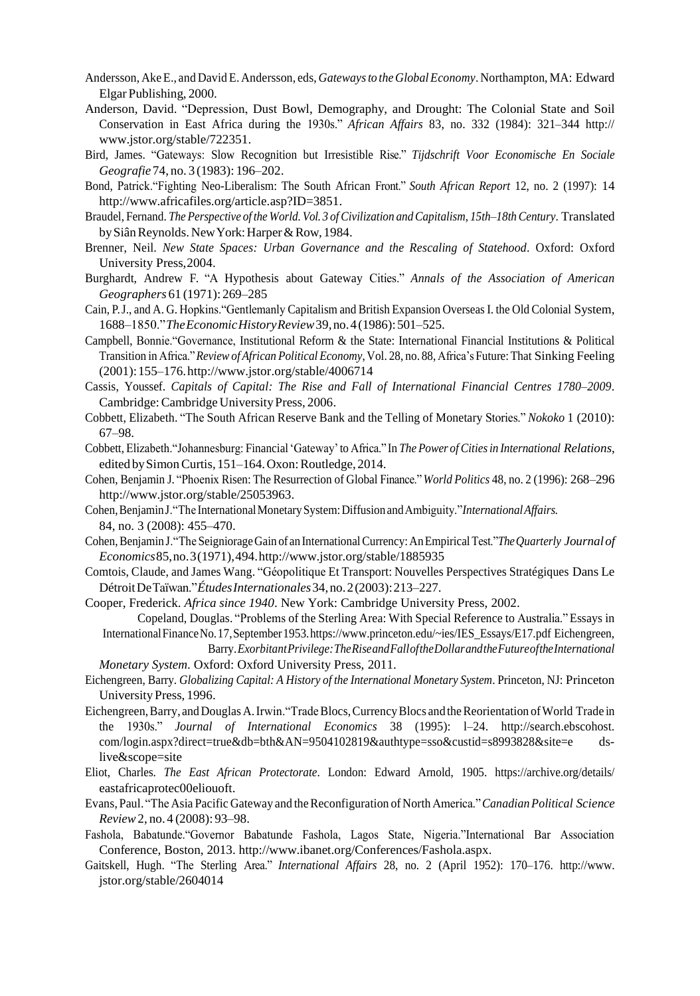- Andersson, AkeE., and DavidE. Andersson, eds, *Gatewaysto theGlobalEconomy*. Northampton, MA: Edward Elgar Publishing, 2000.
- Anderson, David. "Depression, Dust Bowl, Demography, and Drought: The Colonial State and Soil Conservation in East Africa during the 1930s." *African Affairs* 83, no. 332 (1984): 321–344 [http://](http://www.jstor.org/stable/722351) [www.jstor.org/stable/722351.](http://www.jstor.org/stable/722351)
- Bird, James. "Gateways: Slow Recognition but Irresistible Rise." *Tijdschrift Voor Economische En Sociale Geografie* 74, no. 3 (1983): 196–202.
- Bond, Patrick."Fighting Neo-Liberalism: The South African Front." *South African Report* 12, no. 2 (1997): 14 [http://www.africafiles.org/article.asp?ID=3851.](http://www.africafiles.org/article.asp?ID=3851)
- Braudel, Fernand. *The Perspective of the World.Vol. 3 ofCivilization andCapitalism, 15th–18th Century*. Translated bySiânReynolds.NewYork:Harper&Row, 1984.
- Brenner, Neil. *New State Spaces: Urban Governance and the Rescaling of Statehood*. Oxford: Oxford University Press,2004.
- Burghardt, Andrew F. "A Hypothesis about Gateway Cities." *Annals of the Association of American Geographers* 61 (1971): 269–285
- Cain, P.J., and A. G. Hopkins."Gentlemanly Capitalism and British Expansion Overseas I. the Old Colonial System, 1688–1850."*TheEconomicHistoryReview*39,no.4(1986):501–525.
- Campbell, Bonnie."Governance, Institutional Reform & the State: International Financial Institutions & Political Transition in Africa."*Reviewof African Political Economy*, Vol. 28, no. 88, Africa's Future: That Sinking Feeling (2001):155–176[.http://www.jstor.org/stable/4006714](http://www.jstor.org/stable/4006714)
- Cassis, Youssef. *Capitals of Capital: The Rise and Fall of International Financial Centres 1780–2009*. Cambridge: Cambridge University Press, 2006.
- Cobbett, Elizabeth. "The South African Reserve Bank and the Telling of Monetary Stories." *Nokoko* 1 (2010): 67–98.
- Cobbett, Elizabeth."Johannesburg: Financial'Gateway'to Africa." In *The Power ofCitiesin International Relations*, edited bySimonCurtis, 151–164.Oxon:Routledge, 2014.
- Cohen, Benjamin J. "Phoenix Risen: The Resurrection of Global Finance." *World Politics* 48, no. 2 (1996): 268–296 [http://www.jstor.org/stable/25053963.](http://www.jstor.org/stable/25053963)
- Cohen,BenjaminJ."The InternationalMonetarySystem:Diffusion andAmbiguity."*InternationalAffairs.* 84, no. 3 (2008): 455–470.
- Cohen,Benjamin J."The SeigniorageGain of an InternationalCurrency:AnEmpiricalTest."*TheQuarterly Journalof Economics*85,no.3(1971),494[.http://www.jstor.org/stable/1885935](http://www.jstor.org/stable/1885935)
- Comtois, Claude, and James Wang. "Géopolitique Et Transport: Nouvelles Perspectives Stratégiques Dans Le DétroitDeTaïwan."*ÉtudesInternationales*34,no.2(2003):213–227.
- Cooper, Frederick. *Africa since 1940*. New York: Cambridge University Press, 2002.
- Copeland, Douglas. "Problems of the Sterling Area: With Special Reference to Australia."Essays in InternationalFinanceNo.17,September1953[.https://www.princeton.edu/~ies/IES\\_Essays/E17.pdf](https://www.princeton.edu/~ies/IES_Essays/E17.pdf) Eichengreen, Barry.*ExorbitantPrivilege:TheRiseandFalloftheDollarandtheFutureoftheInternational*
	- *Monetary System*. Oxford: Oxford University Press, 2011.
- Eichengreen, Barry. *Globalizing Capital: A History of the International Monetary System*. Princeton, NJ: Princeton UniversityPress, 1996.
- Eichengreen,Barry, andDouglas A.Irwin."TradeBlocs,CurrencyBlocs and theReorientation ofWorld Trade in the 1930s." *Journal of International Economics* 38 (1995): l–24. [http://search.ebscohost.](http://search.ebscohost.com/login.aspx?direct=true&db=bth&AN=9504102819&authtype=sso&custid=s8993828&site=eds-live&scope=site) [com/login.aspx?direct=true&db=bth&AN=9504102819&authtype=sso&custid=s8993828&site=e](http://search.ebscohost.com/login.aspx?direct=true&db=bth&AN=9504102819&authtype=sso&custid=s8993828&site=eds-live&scope=site) [ds](http://search.ebscohost.com/login.aspx?direct=true&db=bth&AN=9504102819&authtype=sso&custid=s8993828&site=eds-live&scope=site)[live&scope=site](http://search.ebscohost.com/login.aspx?direct=true&db=bth&AN=9504102819&authtype=sso&custid=s8993828&site=eds-live&scope=site)
- Eliot, Charles. *The East African Protectorate*. London: Edward Arnold, 1905. [https://archive.org/details/](https://archive.org/details/eastafricaprotec00eliouoft) [eastafricaprotec00eliouoft.](https://archive.org/details/eastafricaprotec00eliouoft)
- Evans, Paul. "The Asia Pacific Gateway and theReconfiguration of North America."*CanadianPolitical Science Review*2, no. 4 (2008): 93–98.
- Fashola, Babatunde."Governor Babatunde Fashola, Lagos State, Nigeria."International Bar Association Conference, Boston, 2013[. http://www.ibanet.org/Conferences/Fashola.aspx.](http://www.ibanet.org/Conferences/Fashola.aspx)
- Gaitskell, Hugh. "The Sterling Area." *International Affairs* 28, no. 2 (April 1952): 170–176. [http://www.](http://www.jstor.org/stable/2604014) [jstor.org/stable/2604014](http://www.jstor.org/stable/2604014)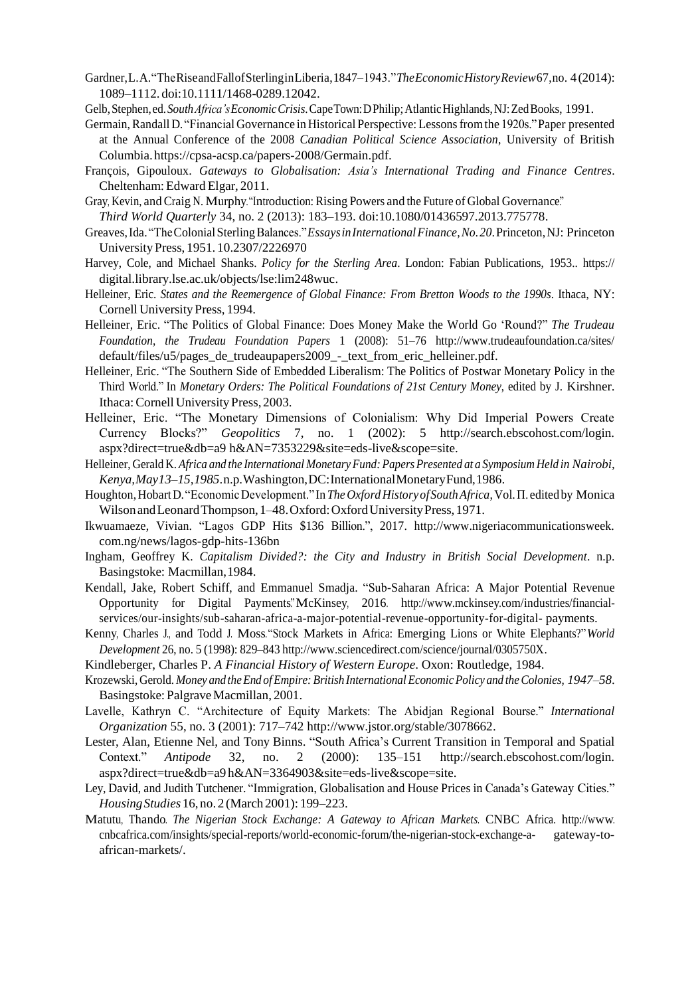- Gardner,L.A."TheRiseandFallofSterlinginLiberia,1847–1943."*TheEconomicHistoryReview*67,no. 4(2014): 1089–1112. doi[:10.1111/1468-0289.12042.](https://doi.org/10.1111/1468-0289.12042)
- Gelb,Stephen,ed.*SouthAfrica'sEconomicCrisis*.CapeTown:DPhilip;AtlanticHighlands,NJ:ZedBooks, 1991.
- Germain,Randall D."Financial Governance in Historical Perspective: Lessonsfromthe 1920s."Paper presented at the Annual Conference of the 2008 *Canadian Political Science Association*, University of British Columbia[.https://cpsa-acsp.ca/papers-2008/Germain.pdf.](https://cpsa-acsp.ca/papers-2008/Germain.pdf)
- François, Gipouloux. *Gateways to Globalisation: Asia's International Trading and Finance Centres*. Cheltenham: Edward Elgar, 2011.
- Gray, Kevin, and Craig N. Murphy. "Introduction: Rising Powers and the Future of Global Governance." *Third World Quarterly* 34, no. 2 (2013): 183–193. doi[:10.1080/01436597.2013.775778.](https://doi.org/10.1080/01436597.2013.775778)
- Greaves,Ida."TheColonialSterlingBalances."*EssaysinInternationalFinance,No.20*.Princeton,NJ: Princeton UniversityPress, 1951. [10.2307/2226970](https://doi.org/10.2307/2226970)
- Harvey, Cole, and Michael Shanks. *Policy for the Sterling Area*. London: Fabian Publications, 1953.. https:// digital.library.lse.ac.uk/objects/lse:lim248wuc.
- Helleiner, Eric. *States and the Reemergence of Global Finance: From Bretton Woods to the 1990s*. Ithaca, NY: Cornell University Press, 1994.
- Helleiner, Eric. "The Politics of Global Finance: Does Money Make the World Go 'Round?" *The Trudeau Foundation, the Trudeau Foundation Papers* 1 (2008): 51–76 [http://www.trudeaufoundation.ca/sites/](http://www.trudeaufoundation.ca/sites/default/files/u5/pages_de_trudeaupapers2009_-_text_from_eric_helleiner.pdf) [default/files/u5/pages\\_de\\_trudeaupapers2009\\_-\\_text\\_from\\_eric\\_helleiner.pdf.](http://www.trudeaufoundation.ca/sites/default/files/u5/pages_de_trudeaupapers2009_-_text_from_eric_helleiner.pdf)
- Helleiner, Eric. "The Southern Side of Embedded Liberalism: The Politics of Postwar Monetary Policy in the Third World." In *Monetary Orders: The Political Foundations of 21st Century Money*, edited by J. Kirshner. Ithaca: Cornell University Press, 2003.
- Helleiner, Eric. "The Monetary Dimensions of Colonialism: Why Did Imperial Powers Create Currency Blocks?" *Geopolitics* 7, no. 1 (2002): 5 [http://search.ebscohost.com/login.](http://search.ebscohost.com/login.aspx?direct=true&db=a9%C3%82%C2%A0h&AN=7353229&site=eds-live&scope=site) [aspx?direct=true&db=a9 h&AN=7353229&site=eds-live&scope=site.](http://search.ebscohost.com/login.aspx?direct=true&db=a9%C3%82%C2%A0h&AN=7353229&site=eds-live&scope=site)
- Helleiner, Gerald K. *Africa and the International Monetary Fund:PapersPresented at a Symposium Held in Nairobi, Kenya,May13–15,1985*.n.p.Washington,DC:InternationalMonetaryFund,1986.
- Houghton,HobartD."EconomicDevelopment."In*TheOxfordHistoryofSouthAfrica*,Vol.Π. edited by Monica Wilson and Leonard Thompson, 1–48. Oxford: Oxford University Press, 1971.
- Ikwuamaeze, Vivian. "Lagos GDP Hits \$136 Billion.", 2017. [http://www.nigeriacommunicationsweek.](http://www.nigeriacommunicationsweek.com.ng/news/lagos-gdp-hits-136bn) [com.ng/news/lagos-gdp-hits-136bn](http://www.nigeriacommunicationsweek.com.ng/news/lagos-gdp-hits-136bn)
- Ingham, Geoffrey K. *Capitalism Divided?: the City and Industry in British Social Development*. n.p. Basingstoke: Macmillan,1984.
- Kendall, Jake, Robert Schiff, and Emmanuel Smadja. "Sub-Saharan Africa: A Major Potential Revenue Opportunity for Digital Payments."McKinsey, 2016. [http://www.mckinsey.com/industries/financial](http://www.mckinsey.com/industries/financial-services/our-insights/sub-saharan-africa-a-major-potential-revenue-opportunity-for-digital-payments)[services/our-insights/sub-saharan-africa-a-major-potential-revenue-opportunity-for-digital-](http://www.mckinsey.com/industries/financial-services/our-insights/sub-saharan-africa-a-major-potential-revenue-opportunity-for-digital-payments) [payments.](http://www.mckinsey.com/industries/financial-services/our-insights/sub-saharan-africa-a-major-potential-revenue-opportunity-for-digital-payments)
- Kenny, Charles J., and Todd J. Moss. "Stock Markets in Africa: Emerging Lions or White Elephants?"*World Development* 26, no. 5 (1998): 829–843 [http://www.sciencedirect.com/science/journal/0305750X.](http://www.sciencedirect.com/science/journal/0305750X)
- Kindleberger, Charles P. *A Financial History of Western Europe*. Oxon: Routledge, 1984.
- Krozewski, Gerold. *Money and theEnd ofEmpire:British International EconomicPolicy and theColonies, 1947–58*. Basingstoke: Palgrave Macmillan, 2001.
- Lavelle, Kathryn C. "Architecture of Equity Markets: The Abidjan Regional Bourse." *International Organization* 55, no. 3 (2001): 717–74[2 http://www.jstor.org/stable/3078662.](http://www.jstor.org/stable/3078662)
- Lester, Alan, Etienne Nel, and Tony Binns. "South Africa's Current Transition in Temporal and Spatial Context." *Antipode* 32, no. 2 (2000): 135–151 [http://search.ebscohost.com/login.](http://search.ebscohost.com/login.aspx?direct=true&db=a9%C3%82%C2%A0h&AN=3364903&site=eds-live&scope=site) aspx?direct=true&db=a9 [h&AN=3364903&site=eds-live&scope=site.](http://search.ebscohost.com/login.aspx?direct=true&db=a9%C3%82%C2%A0h&AN=3364903&site=eds-live&scope=site)
- Ley, David, and Judith Tutchener. "Immigration, Globalisation and House Prices in Canada's Gateway Cities." *HousingStudies* 16, no.2 (March 2001): 199–223.
- Matutu, Thando. *The Nigerian Stock Exchange: A Gateway to African Markets*. CNBC Africa. [http://www.](http://www.cnbcafrica.com/insights/special-reports/world-economic-forum/the-nigerian-stock-exchange-a-gateway-to-african-markets/) [cnbcafrica.com/insights/special-reports/world-economic-forum/the-nigerian-stock-exchange-a-](http://www.cnbcafrica.com/insights/special-reports/world-economic-forum/the-nigerian-stock-exchange-a-gateway-to-african-markets/) [gateway-to](http://www.cnbcafrica.com/insights/special-reports/world-economic-forum/the-nigerian-stock-exchange-a-gateway-to-african-markets/)[african-markets/.](http://www.cnbcafrica.com/insights/special-reports/world-economic-forum/the-nigerian-stock-exchange-a-gateway-to-african-markets/)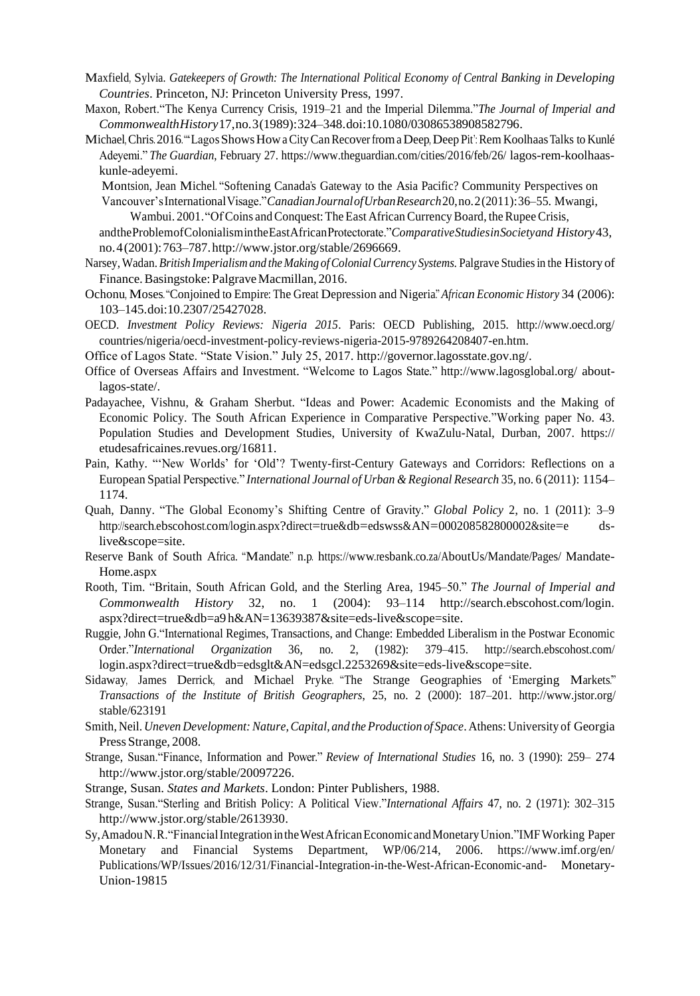- Maxfield, Sylvia. *Gatekeepers of Growth: The International Political Economy of Central Banking in Developing Countries*. Princeton, NJ: Princeton University Press, 1997.
- Maxon, Robert."The Kenya Currency Crisis, 1919–21 and the Imperial Dilemma."*The Journal of Imperial and CommonwealthHistory*17,no.3(1989):324–348.doi[:10.1080/03086538908582796.](https://doi.org/10.1080/03086538908582796)
- Michael, Chris. 2016. "'Lagos Shows How a City Can Recover from a Deep, Deep Pit': Rem Koolhaas Talks to Kunlé Adeyemi." *The Guardian*, February 27. [https://www.theguardian.com/cities/2016/feb/26/](https://www.theguardian.com/cities/2016/feb/26/lagos-rem-koolhaas-kunle-adeyemi) [lagos-rem-koolhaas](https://www.theguardian.com/cities/2016/feb/26/lagos-rem-koolhaas-kunle-adeyemi)[kunle-adeyemi.](https://www.theguardian.com/cities/2016/feb/26/lagos-rem-koolhaas-kunle-adeyemi)
	- Montsion, Jean Michel. "Softening Canada's Gateway to the Asia Pacific? Community Perspectives on Vancouver'sInternationalVisage."*CanadianJournalofUrbanResearch*20,no.2(2011):36–55. Mwangi,
	- Wambui. 2001. "Of Coins and Conquest: The East African Currency Board, the Rupee Crisis, andtheProblemofColonialismintheEastAfricanProtectorate."*ComparativeStudiesinSocietyand History*43, no.4(2001):763–787[.http://www.jstor.org/stable/2696669.](http://www.jstor.org/stable/2696669)
- Narsey,Wadan. *British Imperialism and the Making ofColonialCurrency Systems.* Palgrave Studiesin the Historyof Finance.Basingstoke:PalgraveMacmillan, 2016.
- Ochonu, Moses. "Conjoined to Empire: The Great Depression and Nigeria." *African Economic History* 34 (2006): 103–145.doi[:10.2307/25427028.](https://doi.org/10.2307/25427028)
- OECD. *Investment Policy Reviews: Nigeria 2015*. Paris: OECD Publishing, 2015. [http://www.oecd.org/](http://www.oecd.org/countries/nigeria/oecd-investment-policy-reviews-nigeria-2015-9789264208407-en.htm) [countries/nigeria/oecd-investment-policy-reviews-nigeria-2015-9789264208407-en.htm.](http://www.oecd.org/countries/nigeria/oecd-investment-policy-reviews-nigeria-2015-9789264208407-en.htm)
- Office of Lagos State. "State Vision." July 25, 2017[. http://governor.lagosstate.gov.ng/.](http://governor.lagosstate.gov.ng/)
- Office of Overseas Affairs and Investment. "Welcome to Lagos State." [http://www.lagosglobal.org/](http://www.lagosglobal.org/about-lagos-state/) [about](http://www.lagosglobal.org/about-lagos-state/)[lagos-state/.](http://www.lagosglobal.org/about-lagos-state/)
- Padayachee, Vishnu, & Graham Sherbut. "Ideas and Power: Academic Economists and the Making of Economic Policy. The South African Experience in Comparative Perspective."Working paper No. 43. Population Studies and Development Studies, University of KwaZulu-Natal, Durban, 2007. [https://](https://etudesafricaines.revues.org/16811) [etudesafricaines.revues.org/16811.](https://etudesafricaines.revues.org/16811)
- Pain, Kathy. "'New Worlds' for 'Old'? Twenty-first-Century Gateways and Corridors: Reflections on a European Spatial Perspective." *International Journal of Urban & Regional Research* 35, no. 6 (2011): 1154– 1174.
- Quah, Danny. "The Global Economy's Shifting Centre of Gravity." *Global Policy* 2, no. 1 (2011): 3–9 [http://search.ebscohost.com/login.aspx?direct=true&db=edswss&AN=000208582800002&site=e](http://search.ebscohost.com/login.aspx?direct=true&db=edswss&AN=000208582800002&site=eds-live&scope=site) [ds](http://search.ebscohost.com/login.aspx?direct=true&db=edswss&AN=000208582800002&site=eds-live&scope=site)[live&scope=site.](http://search.ebscohost.com/login.aspx?direct=true&db=edswss&AN=000208582800002&site=eds-live&scope=site)
- Reserve Bank of South Africa. "Mandate" n.p. [https://www.resbank.co.za/AboutUs/Mandate/Pages/](https://www.resbank.co.za/AboutUs/Mandate/Pages/Mandate-Home.aspx) [Mandate-](https://www.resbank.co.za/AboutUs/Mandate/Pages/Mandate-Home.aspx)[Home.aspx](https://www.resbank.co.za/AboutUs/Mandate/Pages/Mandate-Home.aspx)
- Rooth, Tim. "Britain, South African Gold, and the Sterling Area, 1945–50." *The Journal of Imperial and Commonwealth History* 32, no. 1 (2004): 93–114 [http://search.ebscohost.com/login.](http://search.ebscohost.com/login.aspx?direct=true&db=a9%C3%82%C2%A0h&AN=13639387&site=eds-live&scope=site) aspx?direct=true&db=a9 [h&AN=13639387&site=eds-live&scope=site.](http://search.ebscohost.com/login.aspx?direct=true&db=a9%C3%82%C2%A0h&AN=13639387&site=eds-live&scope=site)
- Ruggie, John G."International Regimes, Transactions, and Change: Embedded Liberalism in the Postwar Economic Order."*International Organization* 36, no. 2, (1982): 379–415. [http://search.ebscohost.com/](http://search.ebscohost.com/login.aspx?direct=true&db=edsglt&AN=edsgcl.2253269&site=eds-live&scope=site) [login.aspx?direct=true&db=edsglt&AN=edsgcl.2253269&site=eds-live&scope=site.](http://search.ebscohost.com/login.aspx?direct=true&db=edsglt&AN=edsgcl.2253269&site=eds-live&scope=site)
- Sidaway, James Derrick, and Michael Pryke. "The Strange Geographies of 'Emerging Markets.'" *Transactions of the Institute of British Geographers*, 25, no. 2 (2000): 187–201. [http://www.jstor.org/](http://www.jstor.org/stable/623191) [stable/623191](http://www.jstor.org/stable/623191)
- Smith, Neil. *Uneven Development: Nature, Capital, and the Production of Space.* Athens: University of Georgia Press Strange, 2008.
- Strange, Susan."Finance, Information and Power." *Review of International Studies* 16, no. 3 (1990): 259– 274 [http://www.jstor.org/stable/20097226.](http://www.jstor.org/stable/20097226)
- Strange, Susan. *States and Markets*. London: Pinter Publishers, 1988.
- Strange, Susan."Sterling and British Policy: A Political View."*International Affairs* 47, no. 2 (1971): 302–315 [http://www.jstor.org/stable/2613930.](http://www.jstor.org/stable/2613930)
- Sy,AmadouN.R."FinancialIntegrationintheWestAfricanEconomicandMonetaryUnion."IMFWorking Paper Monetary and Financial Systems Department, WP/06/214, 2006. [https://www.imf.org/en/](https://www.imf.org/en/Publications/WP/Issues/2016/12/31/Financial-Integration-in-the-West-African-Economic-and-Monetary-Union-19815) [Publications/WP/Issues/2016/12/31/Financial-Integration-in-the-West-African-Economic-and-](https://www.imf.org/en/Publications/WP/Issues/2016/12/31/Financial-Integration-in-the-West-African-Economic-and-Monetary-Union-19815) [Monetary-](https://www.imf.org/en/Publications/WP/Issues/2016/12/31/Financial-Integration-in-the-West-African-Economic-and-Monetary-Union-19815)[Union-19815](https://www.imf.org/en/Publications/WP/Issues/2016/12/31/Financial-Integration-in-the-West-African-Economic-and-Monetary-Union-19815)